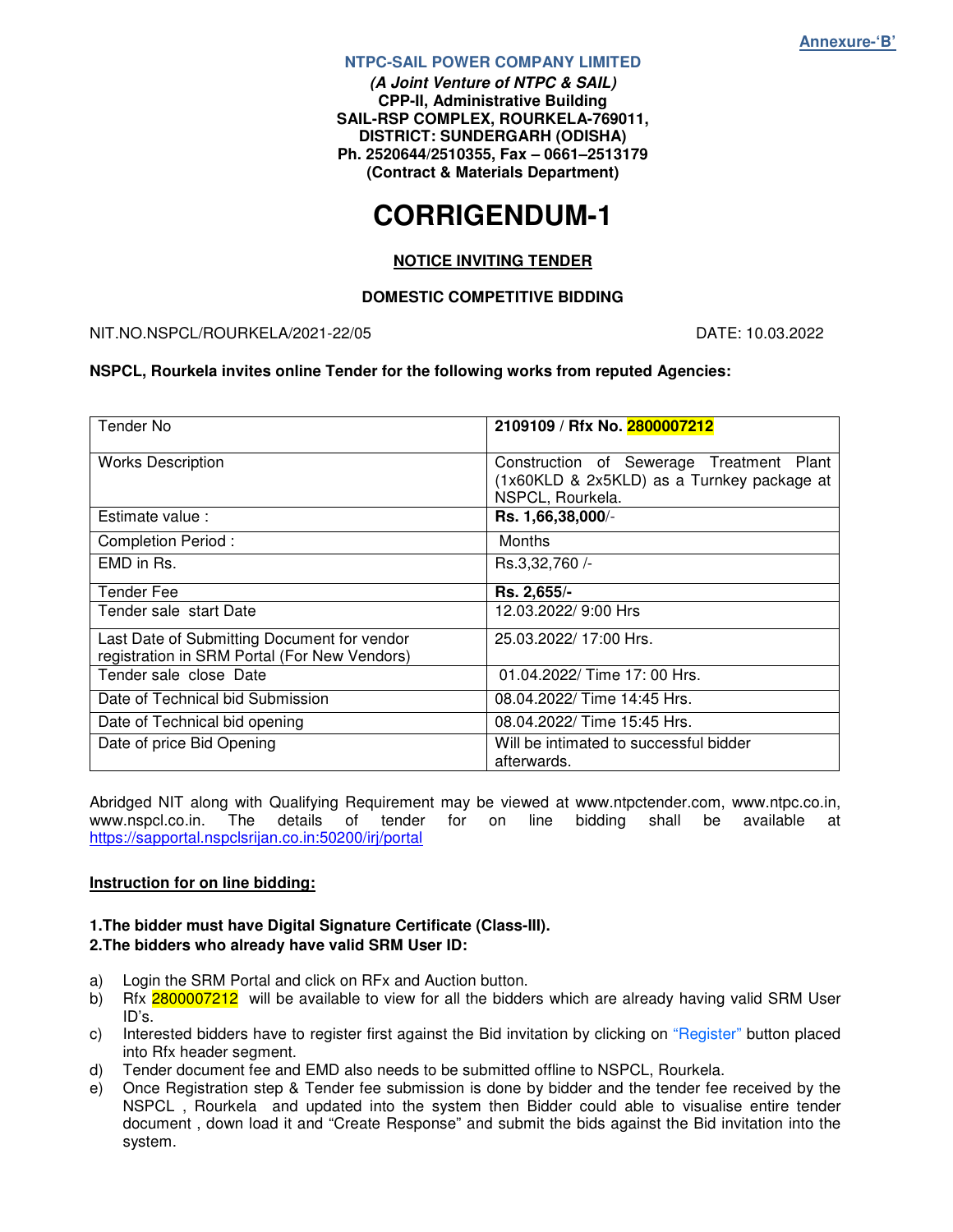#### **NTPC-SAIL POWER COMPANY LIMITED**

**(A Joint Venture of NTPC & SAIL) CPP-II, Administrative Building SAIL-RSP COMPLEX, ROURKELA-769011, DISTRICT: SUNDERGARH (ODISHA) Ph. 2520644/2510355, Fax – 0661–2513179 (Contract & Materials Department)** 

# **CORRIGENDUM-1**

#### **NOTICE INVITING TENDER**

#### **DOMESTIC COMPETITIVE BIDDING**

#### NIT.NO.NSPCL/ROURKELA/2021-22/05 DATE: 10.03.2022

#### **NSPCL, Rourkela invites online Tender for the following works from reputed Agencies:**

| <b>Tender No</b>                                                                            | 2109109 / Rfx No. 2800007212                                                                               |
|---------------------------------------------------------------------------------------------|------------------------------------------------------------------------------------------------------------|
| <b>Works Description</b>                                                                    | Construction of Sewerage Treatment Plant<br>(1x60KLD & 2x5KLD) as a Turnkey package at<br>NSPCL, Rourkela. |
| Estimate value:                                                                             | Rs. 1,66,38,000/-                                                                                          |
| <b>Completion Period:</b>                                                                   | Months                                                                                                     |
| EMD in Rs.                                                                                  | Rs.3,32,760 /-                                                                                             |
| Tender Fee                                                                                  | Rs. 2,655/-                                                                                                |
| Tender sale start Date                                                                      | 12.03.2022/ 9:00 Hrs                                                                                       |
| Last Date of Submitting Document for vendor<br>registration in SRM Portal (For New Vendors) | 25.03.2022/17:00 Hrs.                                                                                      |
| Tender sale close Date                                                                      | 01.04.2022/ Time 17: 00 Hrs.                                                                               |
| Date of Technical bid Submission                                                            | 08.04.2022/ Time 14:45 Hrs.                                                                                |
| Date of Technical bid opening                                                               | 08.04.2022/ Time 15:45 Hrs.                                                                                |
| Date of price Bid Opening                                                                   | Will be intimated to successful bidder<br>afterwards.                                                      |

Abridged NIT along with Qualifying Requirement may be viewed at www.ntpctender.com, www.ntpc.co.in,<br>www.nspcl.co.in. The details of tender for on line bidding shall be available at www.nspcl.co.in. The details of tender for on line bidding shall be available at https://sapportal.nspclsrijan.co.in:50200/irj/portal

#### **Instruction for on line bidding:**

#### **1.The bidder must have Digital Signature Certificate (Class-III). 2.The bidders who already have valid SRM User ID:**

- a) Login the SRM Portal and click on RFx and Auction button.
- b) Rfx 2800007212 will be available to view for all the bidders which are already having valid SRM User ID's.
- c) Interested bidders have to register first against the Bid invitation by clicking on "Register" button placed into Rfx header segment.
- d) Tender document fee and EMD also needs to be submitted offline to NSPCL, Rourkela.
- e) Once Registration step & Tender fee submission is done by bidder and the tender fee received by the NSPCL , Rourkela and updated into the system then Bidder could able to visualise entire tender document , down load it and "Create Response" and submit the bids against the Bid invitation into the system.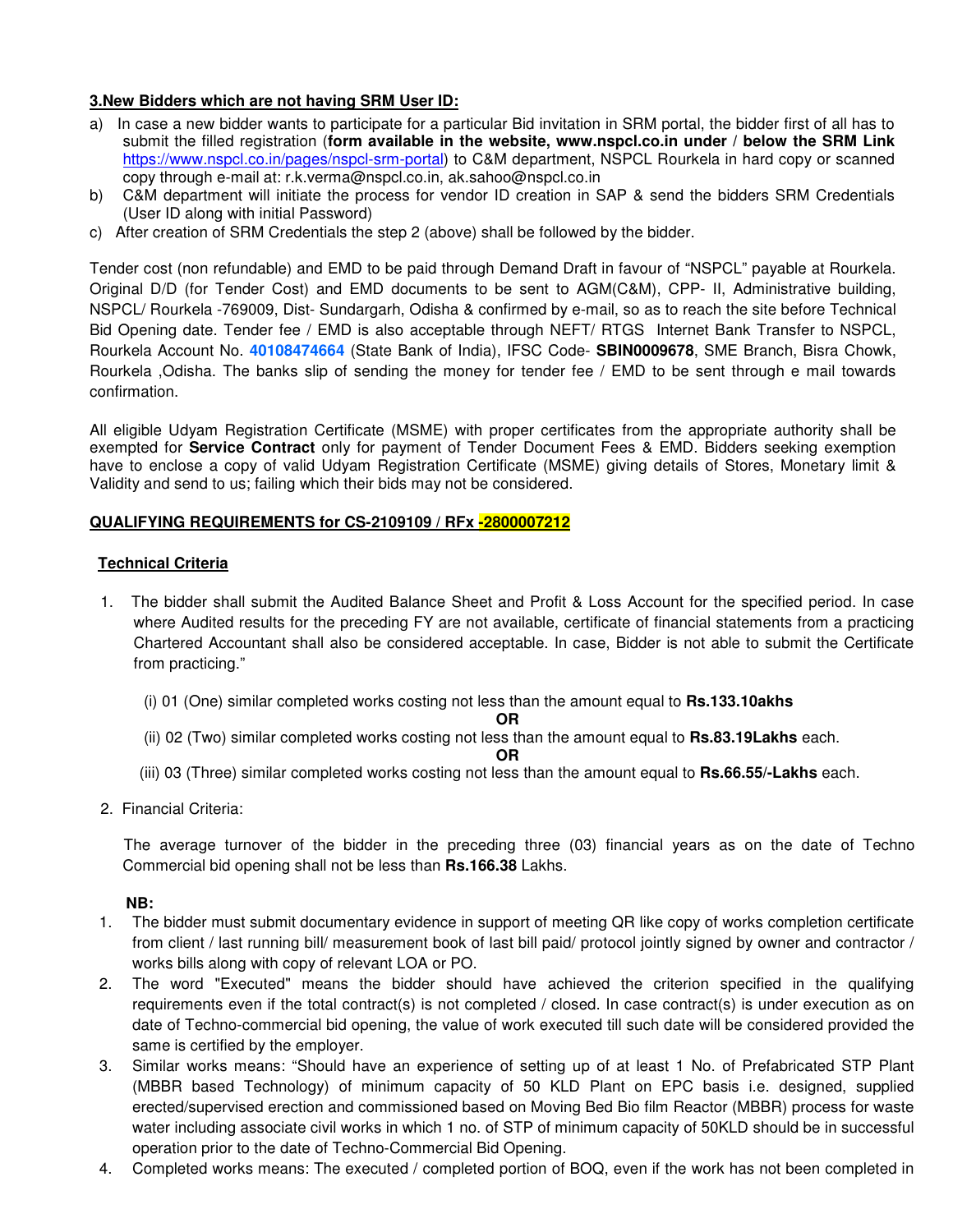#### **3.New Bidders which are not having SRM User ID:**

- a) In case a new bidder wants to participate for a particular Bid invitation in SRM portal, the bidder first of all has to submit the filled registration (**form available in the website, www.nspcl.co.in under / below the SRM Link**  https://www.nspcl.co.in/pages/nspcl-srm-portal) to C&M department, NSPCL Rourkela in hard copy or scanned copy through e-mail at: r.k.verma@nspcl.co.in, ak.sahoo@nspcl.co.in
- b) C&M department will initiate the process for vendor ID creation in SAP & send the bidders SRM Credentials (User ID along with initial Password)
- c) After creation of SRM Credentials the step 2 (above) shall be followed by the bidder.

Tender cost (non refundable) and EMD to be paid through Demand Draft in favour of "NSPCL" payable at Rourkela. Original D/D (for Tender Cost) and EMD documents to be sent to AGM(C&M), CPP- II, Administrative building, NSPCL/ Rourkela -769009, Dist- Sundargarh, Odisha & confirmed by e-mail, so as to reach the site before Technical Bid Opening date. Tender fee / EMD is also acceptable through NEFT/ RTGS Internet Bank Transfer to NSPCL, Rourkela Account No. **40108474664** (State Bank of India), IFSC Code- **SBIN0009678**, SME Branch, Bisra Chowk, Rourkela ,Odisha. The banks slip of sending the money for tender fee / EMD to be sent through e mail towards confirmation.

All eligible Udyam Registration Certificate (MSME) with proper certificates from the appropriate authority shall be exempted for **Service Contract** only for payment of Tender Document Fees & EMD. Bidders seeking exemption have to enclose a copy of valid Udyam Registration Certificate (MSME) giving details of Stores, Monetary limit & Validity and send to us; failing which their bids may not be considered.

#### **QUALIFYING REQUIREMENTS for CS-2109109 / RFx -2800007212**

#### **Technical Criteria**

- 1. The bidder shall submit the Audited Balance Sheet and Profit & Loss Account for the specified period. In case where Audited results for the preceding FY are not available, certificate of financial statements from a practicing Chartered Accountant shall also be considered acceptable. In case, Bidder is not able to submit the Certificate from practicing."
	- (i) 01 (One) similar completed works costing not less than the amount equal to **Rs.133.10akhs**

#### **OR**

- (ii) 02 (Two) similar completed works costing not less than the amount equal to **Rs.83.19Lakhs** each.
- **OR**  (iii) 03 (Three) similar completed works costing not less than the amount equal to **Rs.66.55/-Lakhs** each.
- 2. Financial Criteria:

 The average turnover of the bidder in the preceding three (03) financial years as on the date of Techno Commercial bid opening shall not be less than **Rs.166.38** Lakhs.

#### **NB:**

- 1. The bidder must submit documentary evidence in support of meeting QR like copy of works completion certificate from client / last running bill/ measurement book of last bill paid/ protocol jointly signed by owner and contractor / works bills along with copy of relevant LOA or PO.
- 2. The word "Executed" means the bidder should have achieved the criterion specified in the qualifying requirements even if the total contract(s) is not completed / closed. In case contract(s) is under execution as on date of Techno-commercial bid opening, the value of work executed till such date will be considered provided the same is certified by the employer.
- 3. Similar works means: "Should have an experience of setting up of at least 1 No. of Prefabricated STP Plant (MBBR based Technology) of minimum capacity of 50 KLD Plant on EPC basis i.e. designed, supplied erected/supervised erection and commissioned based on Moving Bed Bio film Reactor (MBBR) process for waste water including associate civil works in which 1 no. of STP of minimum capacity of 50KLD should be in successful operation prior to the date of Techno-Commercial Bid Opening.
- 4. Completed works means: The executed / completed portion of BOQ, even if the work has not been completed in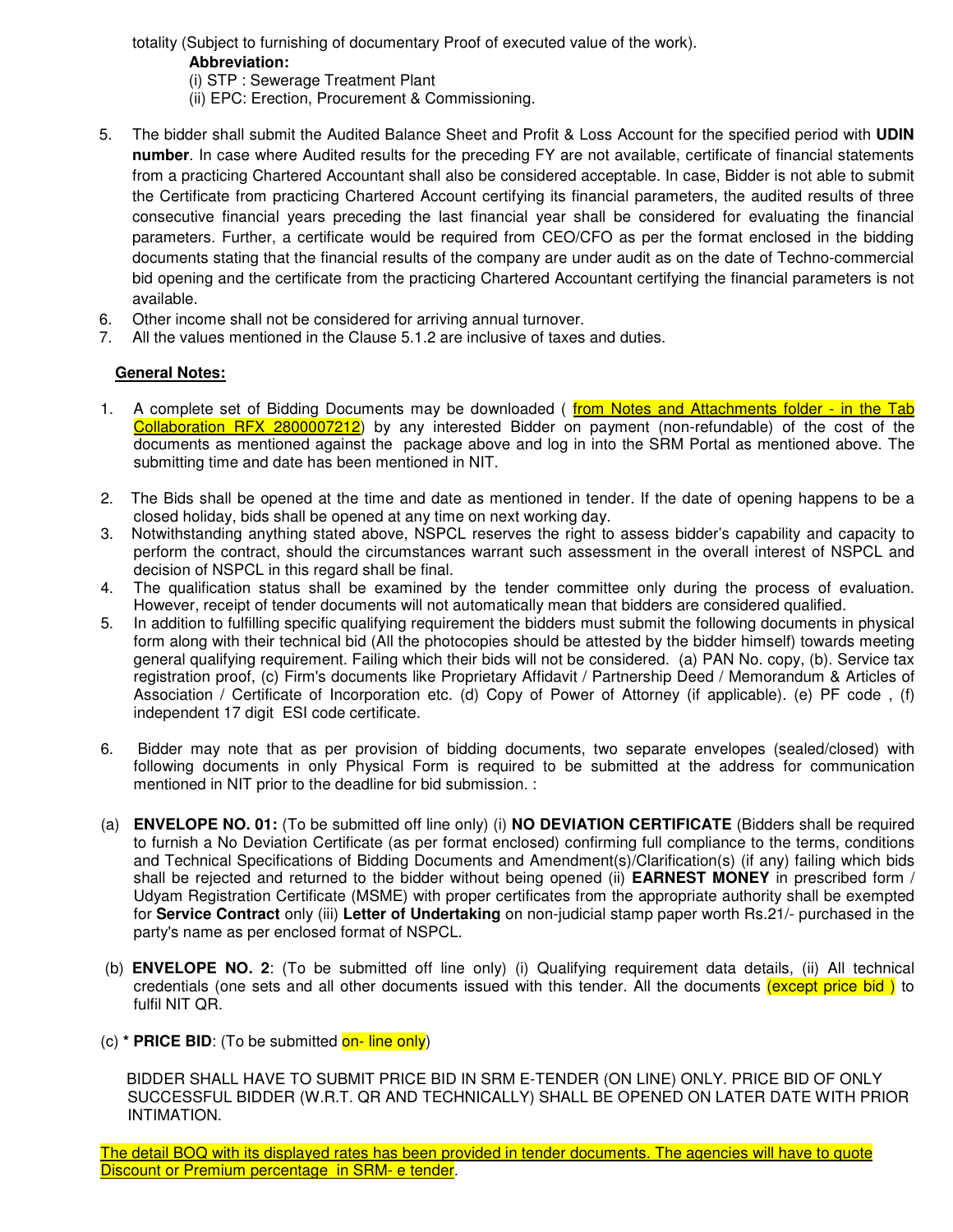totality (Subject to furnishing of documentary Proof of executed value of the work).

#### **Abbreviation:**

(i) STP : Sewerage Treatment Plant

(ii) EPC: Erection, Procurement & Commissioning.

- 5. The bidder shall submit the Audited Balance Sheet and Profit & Loss Account for the specified period with **UDIN number**. In case where Audited results for the preceding FY are not available, certificate of financial statements from a practicing Chartered Accountant shall also be considered acceptable. In case, Bidder is not able to submit the Certificate from practicing Chartered Account certifying its financial parameters, the audited results of three consecutive financial years preceding the last financial year shall be considered for evaluating the financial parameters. Further, a certificate would be required from CEO/CFO as per the format enclosed in the bidding documents stating that the financial results of the company are under audit as on the date of Techno-commercial bid opening and the certificate from the practicing Chartered Accountant certifying the financial parameters is not available.
- 6. Other income shall not be considered for arriving annual turnover.
- 7. All the values mentioned in the Clause 5.1.2 are inclusive of taxes and duties.

### **General Notes:**

- 1. A complete set of Bidding Documents may be downloaded (from Notes and Attachments folder in the Tab Collaboration RFX 2800007212) by any interested Bidder on payment (non-refundable) of the cost of the documents as mentioned against the package above and log in into the SRM Portal as mentioned above. The submitting time and date has been mentioned in NIT.
- 2. The Bids shall be opened at the time and date as mentioned in tender. If the date of opening happens to be a closed holiday, bids shall be opened at any time on next working day.
- 3. Notwithstanding anything stated above, NSPCL reserves the right to assess bidder's capability and capacity to perform the contract, should the circumstances warrant such assessment in the overall interest of NSPCL and decision of NSPCL in this regard shall be final.
- 4. The qualification status shall be examined by the tender committee only during the process of evaluation. However, receipt of tender documents will not automatically mean that bidders are considered qualified.
- 5. In addition to fulfilling specific qualifying requirement the bidders must submit the following documents in physical form along with their technical bid (All the photocopies should be attested by the bidder himself) towards meeting general qualifying requirement. Failing which their bids will not be considered. (a) PAN No. copy, (b). Service tax registration proof, (c) Firm's documents like Proprietary Affidavit / Partnership Deed / Memorandum & Articles of Association / Certificate of Incorporation etc. (d) Copy of Power of Attorney (if applicable). (e) PF code , (f) independent 17 digit ESI code certificate.
- 6. Bidder may note that as per provision of bidding documents, two separate envelopes (sealed/closed) with following documents in only Physical Form is required to be submitted at the address for communication mentioned in NIT prior to the deadline for bid submission. :
- (a) **ENVELOPE NO. 01:** (To be submitted off line only) (i) **NO DEVIATION CERTIFICATE** (Bidders shall be required to furnish a No Deviation Certificate (as per format enclosed) confirming full compliance to the terms, conditions and Technical Specifications of Bidding Documents and Amendment(s)/Clarification(s) (if any) failing which bids shall be rejected and returned to the bidder without being opened (ii) **EARNEST MONEY** in prescribed form / Udyam Registration Certificate (MSME) with proper certificates from the appropriate authority shall be exempted for **Service Contract** only (iii) **Letter of Undertaking** on non-judicial stamp paper worth Rs.21/- purchased in the party's name as per enclosed format of NSPCL.
- (b) **ENVELOPE NO. 2**: (To be submitted off line only) (i) Qualifying requirement data details, (ii) All technical credentials (one sets and all other documents issued with this tender. All the documents (except price bid ) to fulfil NIT QR.
- (c) **\* PRICE BID**: (To be submitted on- line only)

 BIDDER SHALL HAVE TO SUBMIT PRICE BID IN SRM E-TENDER (ON LINE) ONLY. PRICE BID OF ONLY SUCCESSFUL BIDDER (W.R.T. QR AND TECHNICALLY) SHALL BE OPENED ON LATER DATE WITH PRIOR INTIMATION.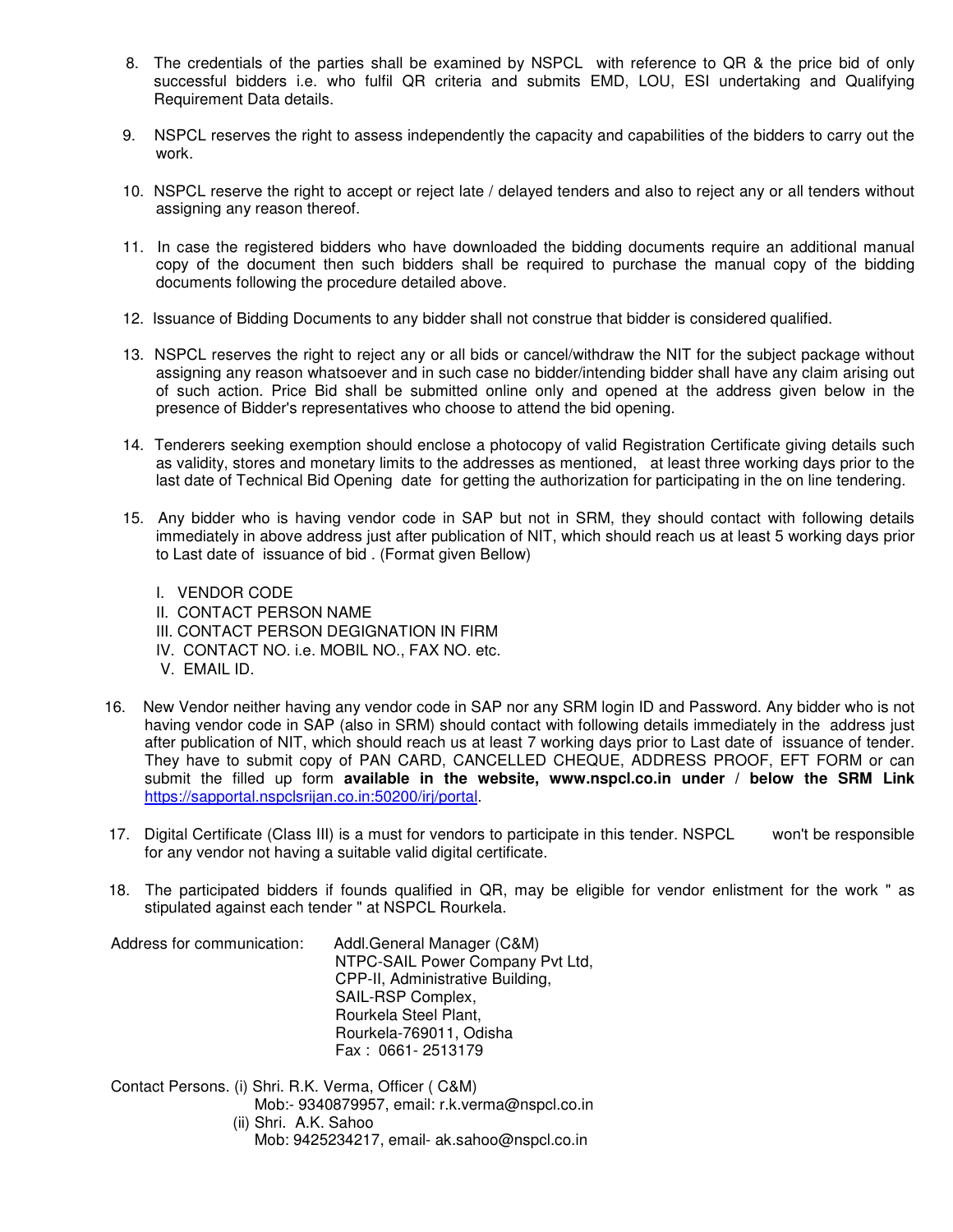- 8. The credentials of the parties shall be examined by NSPCL with reference to QR & the price bid of only successful bidders i.e. who fulfil QR criteria and submits EMD, LOU, ESI undertaking and Qualifying Requirement Data details.
- 9. NSPCL reserves the right to assess independently the capacity and capabilities of the bidders to carry out the work.
- 10. NSPCL reserve the right to accept or reject late / delayed tenders and also to reject any or all tenders without assigning any reason thereof.
- 11. In case the registered bidders who have downloaded the bidding documents require an additional manual copy of the document then such bidders shall be required to purchase the manual copy of the bidding documents following the procedure detailed above.
- 12. Issuance of Bidding Documents to any bidder shall not construe that bidder is considered qualified.
- 13. NSPCL reserves the right to reject any or all bids or cancel/withdraw the NIT for the subject package without assigning any reason whatsoever and in such case no bidder/intending bidder shall have any claim arising out of such action. Price Bid shall be submitted online only and opened at the address given below in the presence of Bidder's representatives who choose to attend the bid opening.
- 14. Tenderers seeking exemption should enclose a photocopy of valid Registration Certificate giving details such as validity, stores and monetary limits to the addresses as mentioned, at least three working days prior to the last date of Technical Bid Opening date for getting the authorization for participating in the on line tendering.
- 15. Any bidder who is having vendor code in SAP but not in SRM, they should contact with following details immediately in above address just after publication of NIT, which should reach us at least 5 working days prior to Last date of issuance of bid . (Format given Bellow)
	- I. VENDOR CODE
	- II. CONTACT PERSON NAME
	- III. CONTACT PERSON DEGIGNATION IN FIRM
	- IV. CONTACT NO. i.e. MOBIL NO., FAX NO. etc.
	- V. EMAIL ID.
- 16. New Vendor neither having any vendor code in SAP nor any SRM login ID and Password. Any bidder who is not having vendor code in SAP (also in SRM) should contact with following details immediately in the address just after publication of NIT, which should reach us at least 7 working days prior to Last date of issuance of tender. They have to submit copy of PAN CARD, CANCELLED CHEQUE, ADDRESS PROOF, EFT FORM or can submit the filled up form **available in the website, www.nspcl.co.in under / below the SRM Link**  https://sapportal.nspclsrijan.co.in:50200/irj/portal.
- 17. Digital Certificate (Class III) is a must for vendors to participate in this tender. NSPCL won't be responsible for any vendor not having a suitable valid digital certificate.
- 18. The participated bidders if founds qualified in QR, may be eligible for vendor enlistment for the work " as stipulated against each tender " at NSPCL Rourkela.

Address for communication: Addl.General Manager (C&M) NTPC-SAIL Power Company Pvt Ltd, CPP-II, Administrative Building, SAIL-RSP Complex, Rourkela Steel Plant, Rourkela-769011, Odisha Fax : 0661- 2513179

Contact Persons. (i) Shri. R.K. Verma, Officer ( C&M) Mob:- 9340879957, email: r.k.verma@nspcl.co.in (ii) Shri. A.K. Sahoo Mob: 9425234217, email- ak.sahoo@nspcl.co.in